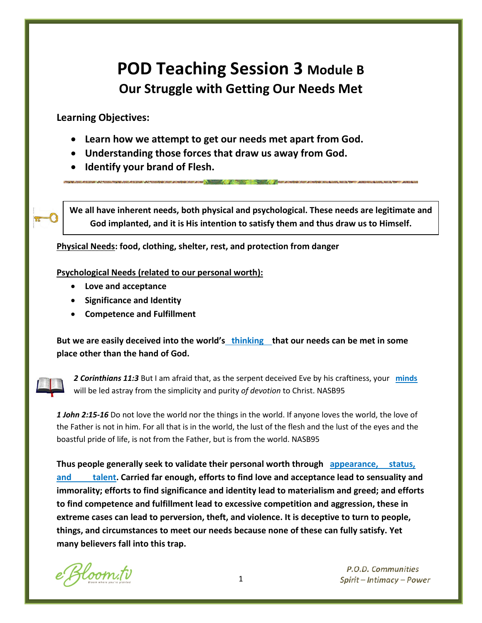# **POD Teaching Session 3 Module B Our Struggle with Getting Our Needs Met**

**Learning Objectives:**

- **Learn how we attempt to get our needs met apart from God.**
- **Understanding those forces that draw us away from God.**
- **Identify your brand of Flesh.**

**We all have inherent needs, both physical and psychological. These needs are legitimate and God implanted, and it is His intention to satisfy them and thus draw us to Himself.**

**Physical Needs: food, clothing, shelter, rest, and protection from danger**

**Psychological Needs (related to our personal worth):**

- **Love and acceptance**
- **Significance and Identity**
- **Competence and Fulfillment**

**But we are easily deceived into the world's thinking that our needs can be met in some place other than the hand of God.**



*2 Corinthians 11:3* But I am afraid that, as the serpent deceived Eve by his craftiness, your **minds**  will be led astray from the simplicity and purity *of devotion* to Christ. NASB95

*1 John 2:15-16* Do not love the world nor the things in the world. If anyone loves the world, the love of the Father is not in him. For all that is in the world, the lust of the flesh and the lust of the eyes and the boastful pride of life, is not from the Father, but is from the world. NASB95

**Thus people generally seek to validate their personal worth through appearance, status, and talent. Carried far enough, efforts to find love and acceptance lead to sensuality and immorality; efforts to find significance and identity lead to materialism and greed; and efforts to find competence and fulfillment lead to excessive competition and aggression, these in extreme cases can lead to perversion, theft, and violence. It is deceptive to turn to people, things, and circumstances to meet our needs because none of these can fully satisfy. Yet many believers fall into this trap.** 

loom.tv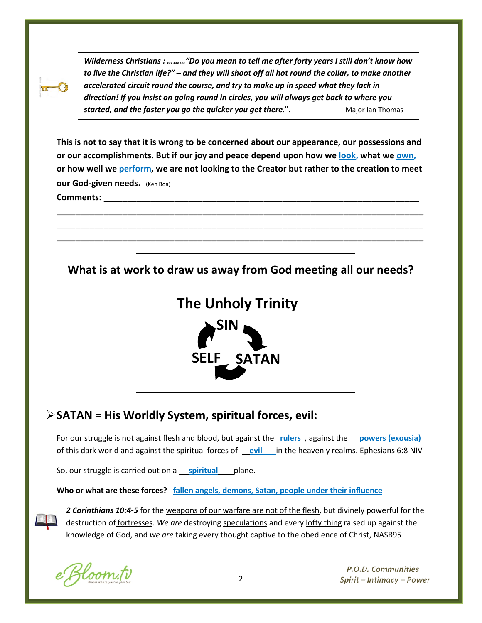*Wilderness Christians : ………"Do you mean to tell me after forty years I still don't know how to live the Christian life?" – and they will shoot off all hot round the collar, to make another accelerated circuit round the course, and try to make up in speed what they lack in direction! If you insist on going round in circles, you will always get back to where you*  **started, and the faster you go the quicker you get there.".** Major Ian Thomas

**This is not to say that it is wrong to be concerned about our appearance, our possessions and or our accomplishments. But if our joy and peace depend upon how we look, what we own, or how well we perform, we are not looking to the Creator but rather to the creation to meet our God-given needs.** (Ken Boa) Comments:

\_\_\_\_\_\_\_\_\_\_\_\_\_\_\_\_\_\_\_\_\_\_\_\_\_\_\_\_\_\_\_\_\_\_\_\_\_\_\_\_\_\_\_\_\_\_\_\_\_\_\_\_\_\_\_\_\_\_\_\_\_\_\_\_\_\_\_\_\_\_\_\_\_\_\_\_\_\_ \_\_\_\_\_\_\_\_\_\_\_\_\_\_\_\_\_\_\_\_\_\_\_\_\_\_\_\_\_\_\_\_\_\_\_\_\_\_\_\_\_\_\_\_\_\_\_\_\_\_\_\_\_\_\_\_\_\_\_\_\_\_\_\_\_\_\_\_\_\_\_\_\_\_\_\_\_\_ \_\_\_\_\_\_\_\_\_\_\_\_\_\_\_\_\_\_\_\_\_\_\_\_\_\_\_\_\_\_\_\_\_\_\_\_\_\_\_\_\_\_\_\_\_\_\_\_\_\_\_\_\_\_\_\_\_\_\_\_\_\_\_\_\_\_\_\_\_\_\_\_\_\_\_\_\_\_

**What is at work to draw us away from God meeting all our needs?**

# **The Unholy Trinity**



## **SATAN = His Worldly System, spiritual forces, evil:**

For our struggle is not against flesh and blood, but against the **rulers**, against the **powers** (exousia) of this dark world and against the spiritual forces of **evil** in the heavenly realms. Ephesians 6:8 NIV

So, our struggle is carried out on a **spiritual** plane.

**Who or what are these forces? fallen angels, demons, Satan, people under their influence**

*2 Corinthians 10:4-5* for the weapons of our warfare are not of the flesh, but divinely powerful for the destruction of fortresses. *We are* destroying speculations and every lofty thing raised up against the knowledge of God, and *we are* taking every thought captive to the obedience of Christ, NASB95

loom.tv

ֺ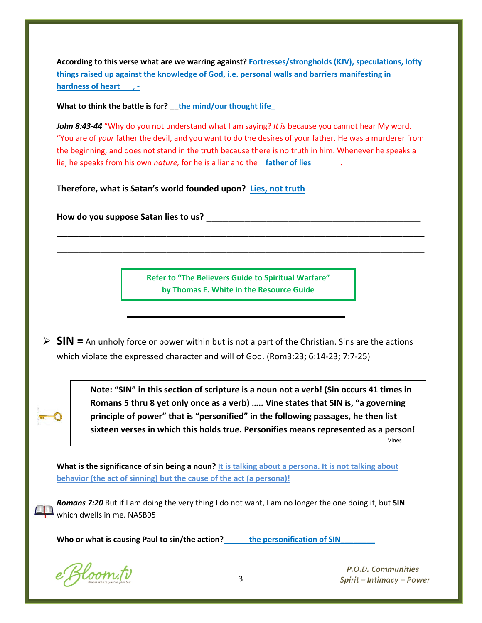**According to this verse what are we warring against? Fortresses/strongholds (KJV), speculations, lofty things raised up against the knowledge of God, i.e. personal walls and barriers manifesting in hardness of heart**\_\_\_, **-**

**What to think the battle is for? \_\_the mind/our thought life\_**

*John 8:43-44* "Why do you not understand what I am saying? *It is* because you cannot hear My word. "You are of *your* father the devil, and you want to do the desires of your father. He was a murderer from the beginning, and does not stand in the truth because there is no truth in him. Whenever he speaks a lie, he speaks from his own *nature,* for he is a liar and the **father of lies** .

**Therefore, what is Satan's world founded upon? Lies, not truth**

**How do you suppose Satan lies to us?** \_\_\_\_\_\_\_\_\_\_\_\_\_\_\_\_\_\_\_\_\_\_\_\_\_\_\_\_\_\_\_\_\_\_\_\_\_\_\_

**Refer to "The Believers Guide to Spiritual Warfare" by Thomas E. White in the Resource Guide**

\_\_\_\_\_\_\_\_\_\_\_\_\_\_\_\_\_\_\_\_\_\_\_\_\_\_\_\_\_\_\_\_\_\_\_\_\_\_\_\_\_\_\_\_\_\_\_\_\_\_\_\_\_\_\_\_\_\_\_\_\_\_\_\_\_\_\_ \_\_\_\_\_\_\_\_\_\_\_\_\_\_\_\_\_\_\_\_\_\_\_\_\_\_\_\_\_\_\_\_\_\_\_\_\_\_\_\_\_\_\_\_\_\_\_\_\_\_\_\_\_\_\_\_\_\_\_\_\_\_\_\_\_\_\_

 **SIN =** An unholy force or power within but is not a part of the Christian. Sins are the actions which violate the expressed character and will of God. (Rom3:23; 6:14-23; 7:7-25)

> **Note: "SIN" in this section of scripture is a noun not a verb! (Sin occurs 41 times in Romans 5 thru 8 yet only once as a verb) ….. Vine states that SIN is, "a governing principle of power" that is "personified" in the following passages, he then list sixteen verses in which this holds true. Personifies means represented as a person!**

Vines

**What is the significance of sin being a noun? It is talking about a persona. It is not talking about behavior (the act of sinning) but the cause of the act (a persona)!**

*Romans 7:20* But if I am doing the very thing I do not want, I am no longer the one doing it, but **SIN** which dwells in me. NASB95

Who or what is causing Paul to sin/the action? **the personification of SIN** 

e Bloom.tv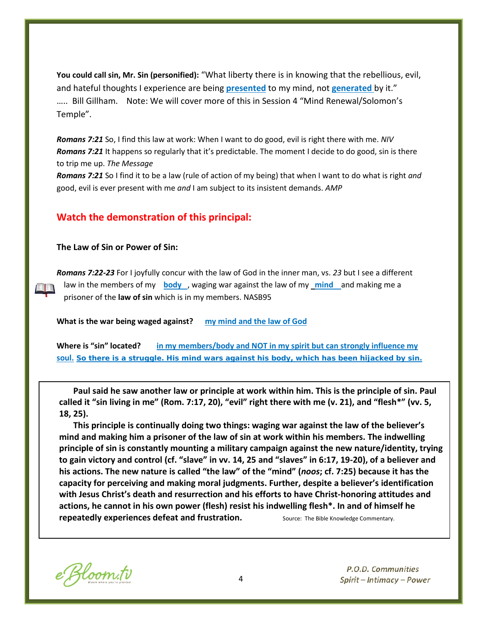**You could call sin, Mr. Sin (personified):** "What liberty there is in knowing that the rebellious, evil, and hateful thoughts I experience are being **presented** to my mind, not **generated** by it." ….. Bill Gillham. Note: We will cover more of this in Session 4 "Mind Renewal/Solomon's Temple".

*Romans 7:21* So, I find this law at work: When I want to do good, evil is right there with me. *NIV Romans 7:21* It happens so regularly that it's predictable. The moment I decide to do good, sin is there to trip me up. *The Message*

*Romans 7:21* So I find it to be a law (rule of action of my being) that when I want to do what is right *and* good, evil is ever present with me *and* I am subject to its insistent demands. *AMP*

#### **Watch the demonstration of this principal:**

#### **The Law of Sin or Power of Sin:**

ER E B

*Romans 7:22-23* For I joyfully concur with the law of God in the inner man, vs. *23* but I see a different law in the members of my **body** , waging war against the law of my **mind** and making me a prisoner of the **law of sin** which is in my members. NASB95

**What is the war being waged against? my mind and the law of God**

**Where is "sin" located? in my members/body and NOT in my spirit but can strongly influence my soul. So there is a struggle. His mind wars against his body, which has been hijacked by sin.**

**Paul said he saw another law or principle at work within him. This is the principle of sin. Paul called it "sin living in me" (Rom. 7:17, 20), "evil" right there with me (v. 21), and "flesh\*" (vv. 5, 18, 25).**

**This principle is continually doing two things: waging war against the law of the believer's mind and making him a prisoner of the law of sin at work within his members. The indwelling principle of sin is constantly mounting a military campaign against the new nature/identity, trying to gain victory and control (cf. "slave" in vv. 14, 25 and "slaves" in 6:17, 19-20), of a believer and his actions. The new nature is called "the law" of the "mind" (***noos***; cf. 7:25) because it has the capacity for perceiving and making moral judgments. Further, despite a believer's identification with Jesus Christ's death and resurrection and his efforts to have Christ-honoring attitudes and actions, he cannot in his own power (flesh) resist his indwelling flesh\*. In and of himself he repeatedly experiences defeat and frustration.** Source: The Bible Knowledge Commentary.

e Bloom.tv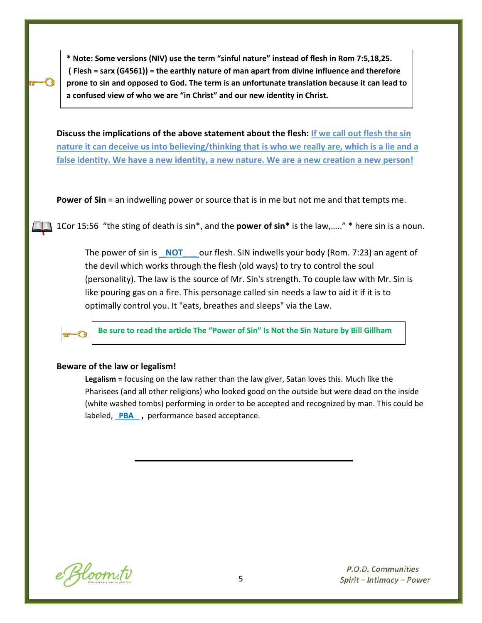**\* Note: Some versions (NIV) use the term "sinful nature" instead of flesh in Rom 7:5,18,25. ( Flesh = sarx (G4561)) = the earthly nature of man apart from divine influence and therefore prone to sin and opposed to God. The term is an unfortunate translation because it can lead to a confused view of who we are "in Christ" and our new identity in Christ.**

**Discuss the implications of the above statement about the flesh: If we call out flesh the sin nature it can deceive us into believing/thinking that is who we really are, which is a lie and a false identity. We have a new identity, a new nature. We are a new creation a new person!**

**Power of Sin** = an indwelling power or source that is in me but not me and that tempts me.

1Cor 15:56 "the sting of death is sin\*, and the **power of sin\*** is the law,….." \* here sin is a noun.

The power of sin is **NOT**\_\_\_ our flesh. SIN indwells your body (Rom. 7:23) an agent of the devil which works through the flesh (old ways) to try to control the soul (personality). The law is the source of Mr. Sin's strength. To couple law with Mr. Sin is like pouring gas on a fire. This personage called sin needs a law to aid it if it is to optimally control you. It "eats, breathes and sleeps" via the Law.



**Be sure to read the article The "Power of Sin" Is Not the Sin Nature by Bill Gillham**

#### **Beware of the law or legalism!**

**Legalism** = focusing on the law rather than the law giver, Satan loves this. Much like the Pharisees (and all other religions) who looked good on the outside but were dead on the inside (white washed tombs) performing in order to be accepted and recognized by man. This could be labeled, PBA, performance based acceptance.

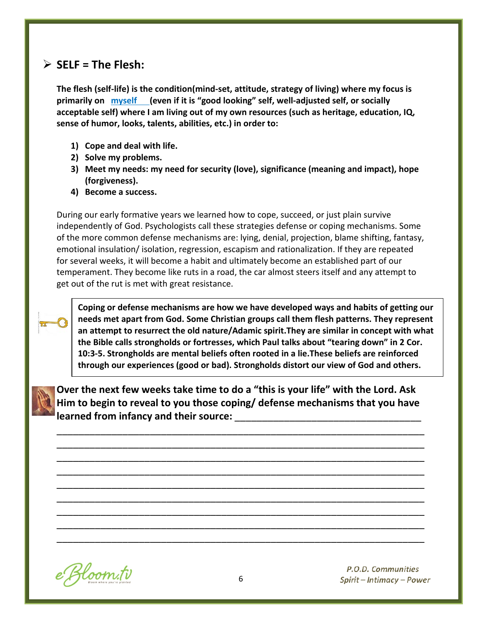## **SELF = The Flesh:**

**The flesh (self-life) is the condition(mind-set, attitude, strategy of living) where my focus is primarily on myself (even if it is "good looking" self, well-adjusted self, or socially acceptable self) where I am living out of my own resources (such as heritage, education, IQ, sense of humor, looks, talents, abilities, etc.) in order to:**

- **1) Cope and deal with life.**
- **2) Solve my problems.**
- **3) Meet my needs: my need for security (love), significance (meaning and impact), hope (forgiveness).**
- **4) Become a success.**

During our early formative years we learned how to cope, succeed, or just plain survive independently of God. Psychologists call these strategies defense or coping mechanisms. Some of the more common defense mechanisms are: lying, denial, projection, blame shifting, fantasy, emotional insulation/ isolation, regression, escapism and rationalization. If they are repeated for several weeks, it will become a habit and ultimately become an established part of our temperament. They become like ruts in a road, the car almost steers itself and any attempt to get out of the rut is met with great resistance.



**Coping or defense mechanisms are how we have developed ways and habits of getting our needs met apart from God. Some Christian groups call them flesh patterns. They represent an attempt to resurrect the old nature/Adamic spirit.They are similar in concept with what the Bible calls strongholds or fortresses, which Paul talks about "tearing down" in 2 Cor. 10:3-5. Strongholds are mental beliefs often rooted in a lie.These beliefs are reinforced through our experiences (good or bad). Strongholds distort our view of God and others.**



**Over the next few weeks take time to do a "this is your life" with the Lord. Ask Him to begin to reveal to you those coping/ defense mechanisms that you have learned from infancy and their source:** 

\_\_\_\_\_\_\_\_\_\_\_\_\_\_\_\_\_\_\_\_\_\_\_\_\_\_\_\_\_\_\_\_\_\_\_\_\_\_\_\_\_\_\_\_\_\_\_\_\_\_\_\_\_\_\_\_\_\_\_\_\_\_\_\_\_\_\_ \_\_\_\_\_\_\_\_\_\_\_\_\_\_\_\_\_\_\_\_\_\_\_\_\_\_\_\_\_\_\_\_\_\_\_\_\_\_\_\_\_\_\_\_\_\_\_\_\_\_\_\_\_\_\_\_\_\_\_\_\_\_\_\_\_\_\_ \_\_\_\_\_\_\_\_\_\_\_\_\_\_\_\_\_\_\_\_\_\_\_\_\_\_\_\_\_\_\_\_\_\_\_\_\_\_\_\_\_\_\_\_\_\_\_\_\_\_\_\_\_\_\_\_\_\_\_\_\_\_\_\_\_\_\_ \_\_\_\_\_\_\_\_\_\_\_\_\_\_\_\_\_\_\_\_\_\_\_\_\_\_\_\_\_\_\_\_\_\_\_\_\_\_\_\_\_\_\_\_\_\_\_\_\_\_\_\_\_\_\_\_\_\_\_\_\_\_\_\_\_\_\_ \_\_\_\_\_\_\_\_\_\_\_\_\_\_\_\_\_\_\_\_\_\_\_\_\_\_\_\_\_\_\_\_\_\_\_\_\_\_\_\_\_\_\_\_\_\_\_\_\_\_\_\_\_\_\_\_\_\_\_\_\_\_\_\_\_\_\_ \_\_\_\_\_\_\_\_\_\_\_\_\_\_\_\_\_\_\_\_\_\_\_\_\_\_\_\_\_\_\_\_\_\_\_\_\_\_\_\_\_\_\_\_\_\_\_\_\_\_\_\_\_\_\_\_\_\_\_\_\_\_\_\_\_\_\_ \_\_\_\_\_\_\_\_\_\_\_\_\_\_\_\_\_\_\_\_\_\_\_\_\_\_\_\_\_\_\_\_\_\_\_\_\_\_\_\_\_\_\_\_\_\_\_\_\_\_\_\_\_\_\_\_\_\_\_\_\_\_\_\_\_\_\_ \_\_\_\_\_\_\_\_\_\_\_\_\_\_\_\_\_\_\_\_\_\_\_\_\_\_\_\_\_\_\_\_\_\_\_\_\_\_\_\_\_\_\_\_\_\_\_\_\_\_\_\_\_\_\_\_\_\_\_\_\_\_\_\_\_\_\_ \_\_\_\_\_\_\_\_\_\_\_\_\_\_\_\_\_\_\_\_\_\_\_\_\_\_\_\_\_\_\_\_\_\_\_\_\_\_\_\_\_\_\_\_\_\_\_\_\_\_\_\_\_\_\_\_\_\_\_\_\_\_\_\_\_\_\_

e Bloom.tv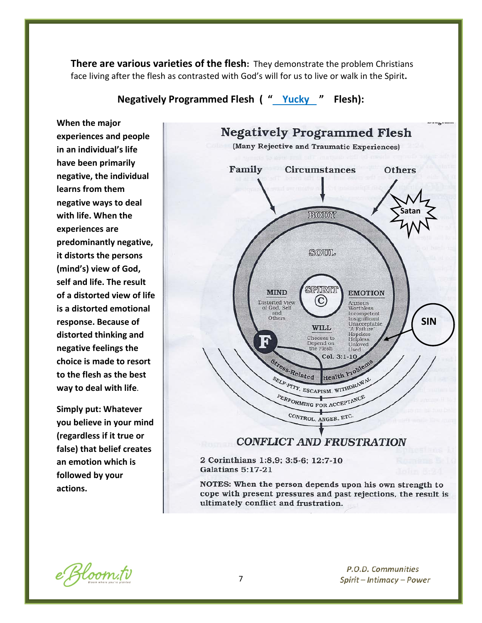**There are various varieties of the flesh:** They demonstrate the problem Christians face living after the flesh as contrasted with God's will for us to live or walk in the Spirit**.**

**Negatively Programmed Flesh ( " Yucky " Flesh):**

**When the major experiences and people in an individual's life have been primarily negative, the individual learns from them negative ways to deal with life. When the experiences are predominantly negative, it distorts the persons (mind's) view of God, self and life. The result of a distorted view of life is a distorted emotional response. Because of distorted thinking and negative feelings the choice is made to resort to the flesh as the best way to deal with life**.

**Simply put: Whatever you believe in your mind (regardless if it true or false) that belief creates an emotion which is followed by your actions.**



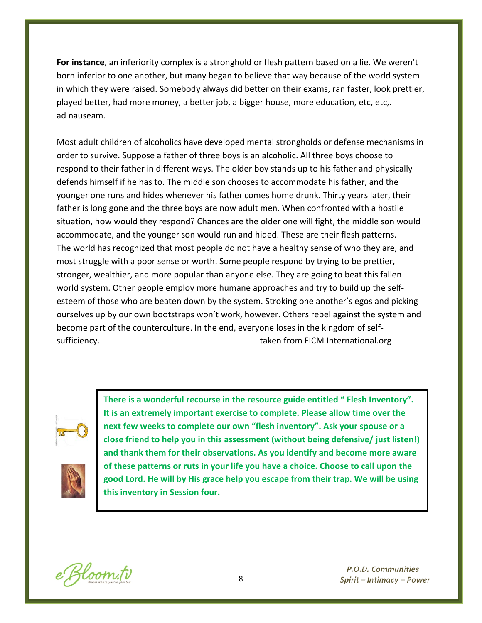**For instance**, an inferiority complex is a stronghold or flesh pattern based on a lie. We weren't born inferior to one another, but many began to believe that way because of the world system in which they were raised. Somebody always did better on their exams, ran faster, look prettier, played better, had more money, a better job, a bigger house, more education, etc, etc,. ad nauseam.

Most adult children of alcoholics have developed mental strongholds or defense mechanisms in order to survive. Suppose a father of three boys is an alcoholic. All three boys choose to respond to their father in different ways. The older boy stands up to his father and physically defends himself if he has to. The middle son chooses to accommodate his father, and the younger one runs and hides whenever his father comes home drunk. Thirty years later, their father is long gone and the three boys are now adult men. When confronted with a hostile situation, how would they respond? Chances are the older one will fight, the middle son would accommodate, and the younger son would run and hided. These are their flesh patterns. The world has recognized that most people do not have a healthy sense of who they are, and most struggle with a poor sense or worth. Some people respond by trying to be prettier, stronger, wealthier, and more popular than anyone else. They are going to beat this fallen world system. Other people employ more humane approaches and try to build up the selfesteem of those who are beaten down by the system. Stroking one another's egos and picking ourselves up by our own bootstraps won't work, however. Others rebel against the system and become part of the counterculture. In the end, everyone loses in the kingdom of selfsufficiency. The subset of the staten from FICM International.org in the staten from FICM International.org



**There is a wonderful recourse in the resource guide entitled " Flesh Inventory". It is an extremely important exercise to complete. Please allow time over the next few weeks to complete our own "flesh inventory". Ask your spouse or a close friend to help you in this assessment (without being defensive/ just listen!) and thank them for their observations. As you identify and become more aware of these patterns or ruts in your life you have a choice. Choose to call upon the good Lord. He will by His grace help you escape from their trap. We will be using this inventory in Session four.**

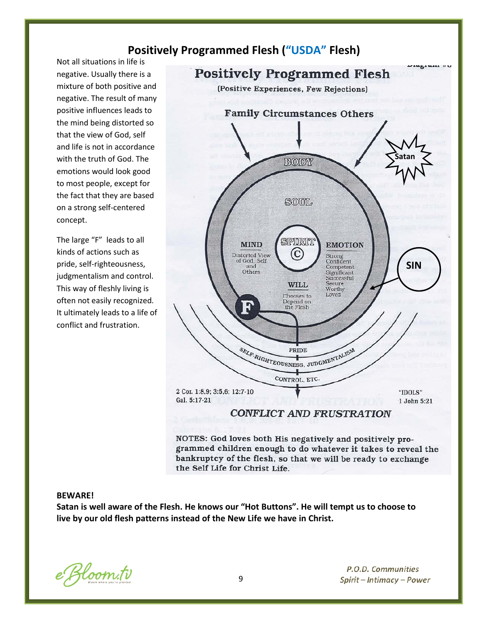### **Positively Programmed Flesh ("USDA" Flesh)**

Not all situations in life is negative. Usually there is a mixture of both positive and negative. The result of many positive influences leads to the mind being distorted so that the view of God, self and life is not in accordance with the truth of God. The emotions would look good to most people, except for the fact that they are based on a strong self-centered concept.

The large "F" leads to all kinds of actions such as pride, self-righteousness, judgmentalism and control. This way of fleshly living is often not easily recognized. It ultimately leads to a life of conflict and frustration.



NOTES: God loves both His negatively and positively programmed children enough to do whatever it takes to reveal the bankruptcy of the flesh, so that we will be ready to exchange the Self Life for Christ Life.

#### **BEWARE!**

**Satan is well aware of the Flesh. He knows our "Hot Buttons". He will tempt us to choose to live by our old flesh patterns instead of the New Life we have in Christ.**

e Bloom.tv